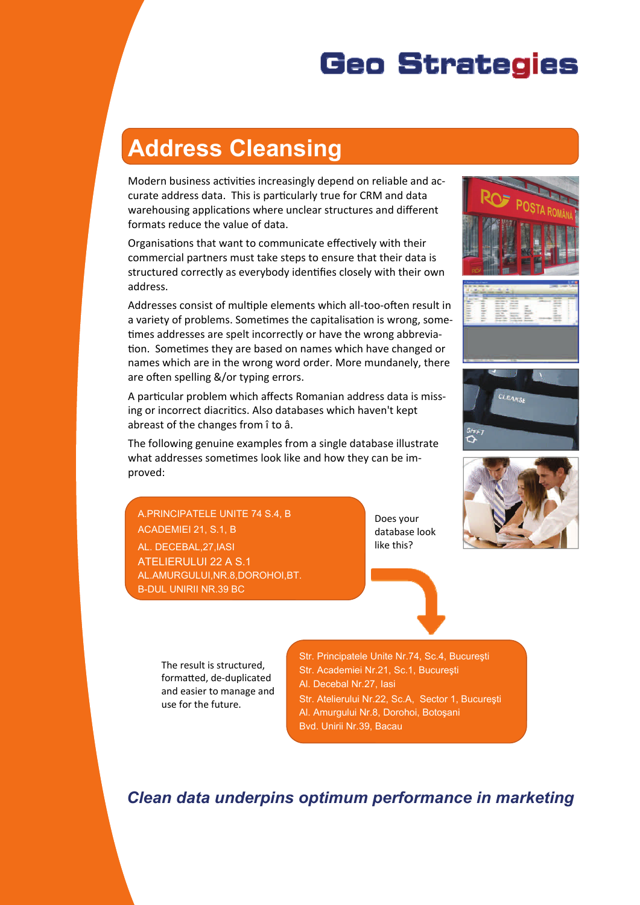# **Geo Strategies**

# **Address Cleansing**

Modern business activities increasingly depend on reliable and accurate address data. This is particularly true for CRM and data warehousing applications where unclear structures and different formats reduce the value of data.

Organisations that want to communicate effectively with their commercial partners must take steps to ensure that their data is structured correctly as everybody identifies closely with their own address.

Addresses consist of multiple elements which all-too-often result in a variety of problems. Sometimes the capitalisation is wrong, sometimes addresses are spelt incorrectly or have the wrong abbreviation. Sometimes they are based on names which have changed or names which are in the wrong word order. More mundanely, there are often spelling &/or typing errors.

A particular problem which affects Romanian address data is missing or incorrect diacritics. Also databases which haven't kept abreast of the changes from î to â.

The following genuine examples from a single database illustrate what addresses sometimes look like and how they can be improved:

A.PRINCIPATELE UNITE 74 S.4, B ACADEMIEI 21, S.1, B AL. DECEBAL,27,IASI ATELIERULUI 22 A S.1 AL.AMURGULUI,NR.8,DOROHOI,BT. B-DUL UNIRII NR.39 BC

Does your database look like this?









The result is structured, formaƩed, de-duplicated and easier to manage and use for the future.

Str. Principatele Unite Nr.74, Sc.4, Bucureşti Str. Academiei Nr.21, Sc.1, Bucureşti Al. Decebal Nr.27, Iasi Str. Atelierului Nr.22, Sc.A, Sector 1, Bucureşti Al. Amurgului Nr.8, Dorohoi, Botoşani Bvd. Unirii Nr.39, Bacau

*Clean data underpins optimum performance in marketing*